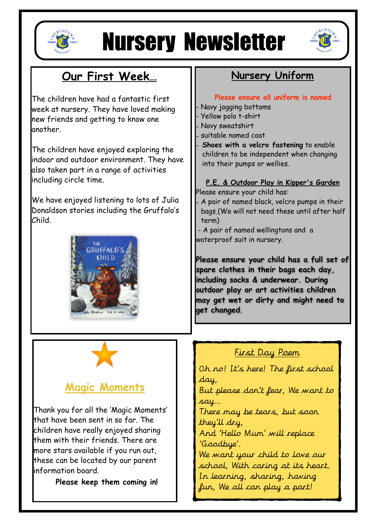

# Nursery Newsletter



# **Our First Week…**

The children have had a fantastic first week at nursery. They have loved making new friends and getting to know one another.

The children have enjoyed exploring the indoor and outdoor environment. They have also taken part in a range of activities including circle time.

We have enjoyed listening to lots of Julia Donaldson stories including the Gruffalo's Child.



## **Nursery Uniform**

#### **Please ensure all uniform is named**

- Navy jogging bottoms
- Yellow polo t-shirt
- Navy sweatshirt
- suitable named coat
- **Shoes with a velcro fastening** to enable children to be independent when changing into their pumps or wellies.

# **P.E. & Outdoor Play in Kipper's Garden**

Please ensure your child has:

A pair of named black, velcro pumps in their bags (We will not need these until after half term)

 - A pair of named wellingtons and a waterproof suit in nursery.

**Please ensure your child has a full set of spare clothes in their bags each day, including socks & underwear. During outdoor play or art activities children may get wet or dirty and might need to get changed**.

### **Magic Moments**

Thank you for all the 'Magic Moments' that have been sent in so far. The children have really enjoyed sharing them with their friends. There are more stars available if you run out, these can be located by our parent information board.

**Please keep them coming in!** 

### First Day Poem

Oh no! It's here! The first school day, But please don't fear, We want to

say…

There may be tears, but soon they'll dry,

And 'Hello Mum' will replace 'Goodbye'.

We want your child to love our school, With caring at its heart. In learning, sharing, having fun, We all can play a part!